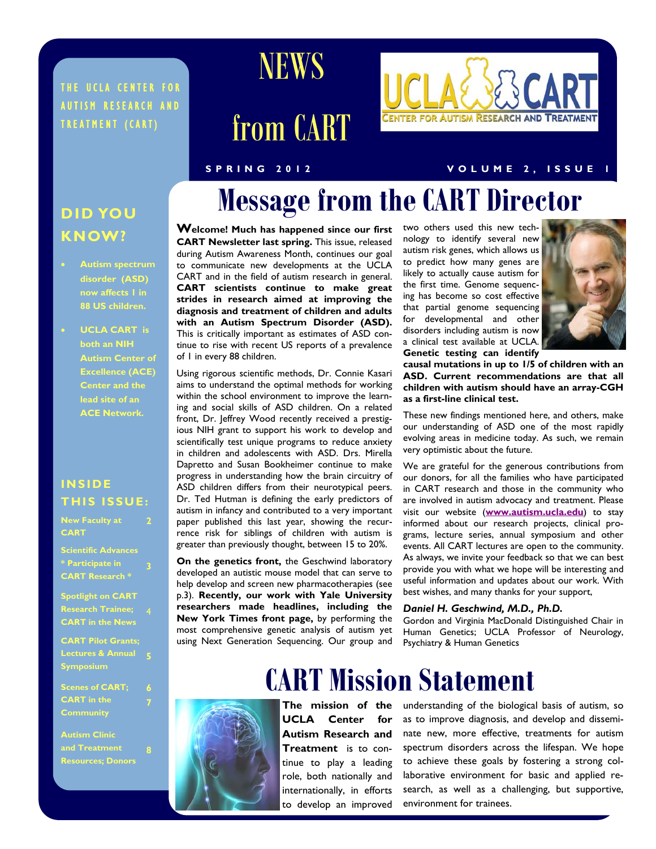#### THE UCLA CENTER FOR AUTISM RESEARCH AND TREATMENT (CART)



# from CART

# **ENTER FOR AUTISM RESEARCH AND TREATMEN**

#### **SPRING 2012 VOLUME 2, ISSUE 1**

### **DID YOU KNOW?**

- **Autism spectrum disorder (ASD) 88 US children.**
- **UCLA CART is both an NIH Autism Center of Excellence (ACE) Center and the lead site of an ACE Network.**

#### **INSIDE THIS ISSUE:**

**2** 

**6 7** 

**CART** 

**Scientific Advances \* Participate in CART Research \* 3** 

**Spotlight on CART Research Trainee;**  4 **CART in the News** 

**CART Pilot Grants; Lectures & Annual 5 Symposium** 

**Scenes of CART; CART in the Community** 

**Autism Clinic Resources; Donors** 

# **Message from the CART Director**

**Welcome! Much has happened since our first CART Newsletter last spring.** This issue, released during Autism Awareness Month, continues our goal to communicate new developments at the UCLA CART and in the field of autism research in general. **CART scientists continue to make great strides in research aimed at improving the diagnosis and treatment of children and adults with an Autism Spectrum Disorder (ASD).**  This is critically important as estimates of ASD continue to rise with recent US reports of a prevalence of 1 in every 88 children.

Using rigorous scientific methods, Dr. Connie Kasari aims to understand the optimal methods for working within the school environment to improve the learning and social skills of ASD children. On a related front, Dr. Jeffrey Wood recently received a prestigious NIH grant to support his work to develop and scientifically test unique programs to reduce anxiety in children and adolescents with ASD. Drs. Mirella Dapretto and Susan Bookheimer continue to make progress in understanding how the brain circuitry of ASD children differs from their neurotypical peers. Dr. Ted Hutman is defining the early predictors of autism in infancy and contributed to a very important paper published this last year, showing the recurrence risk for siblings of children with autism is greater than previously thought, between 15 to 20%.

**On the genetics front,** the Geschwind laboratory developed an autistic mouse model that can serve to help develop and screen new pharmacotherapies (see p.3). **Recently, our work with Yale University researchers made headlines, including the New York Times front page,** by performing the most comprehensive genetic analysis of autism yet using Next Generation Sequencing. Our group and two others used this new technology to identify several new autism risk genes, which allows us to predict how many genes are likely to actually cause autism for the first time. Genome sequencing has become so cost effective that partial genome sequencing for developmental and other disorders including autism is now a clinical test available at UCLA. **Genetic testing can identify** 



**causal mutations in up to 1/5 of children with an ASD. Current recommendations are that all children with autism should have an array-CGH as a first-line clinical test.** 

These new findings mentioned here, and others, make our understanding of ASD one of the most rapidly evolving areas in medicine today. As such, we remain very optimistic about the future.

We are grateful for the generous contributions from our donors, for all the families who have participated in CART research and those in the community who are involved in autism advocacy and treatment. Please visit our website (**[www.autism.ucla.edu](http://www.autism.ucla.edu)**) to stay informed about our research projects, clinical programs, lecture series, annual symposium and other events. All CART lectures are open to the community. As always, we invite your feedback so that we can best provide you with what we hope will be interesting and useful information and updates about our work. With best wishes, and many thanks for your support,

#### *Daniel H. Geschwind, M.D., Ph.D.*

Gordon and Virginia MacDonald Distinguished Chair in Human Genetics; UCLA Professor of Neurology, Psychiatry & Human Genetics

# **CART Mission Statement**

**The mission of the UCLA Center for Autism Research and Treatment** is to continue to play a leading role, both nationally and internationally, in efforts to develop an improved

UCLA CART NEWSLET CONSUMER TO GEVELOP AN Improved environment for trainees. understanding of the biological basis of autism, so as to improve diagnosis, and develop and disseminate new, more effective, treatments for autism spectrum disorders across the lifespan. We hope to achieve these goals by fostering a strong collaborative environment for basic and applied research, as well as a challenging, but supportive, environment for trainees.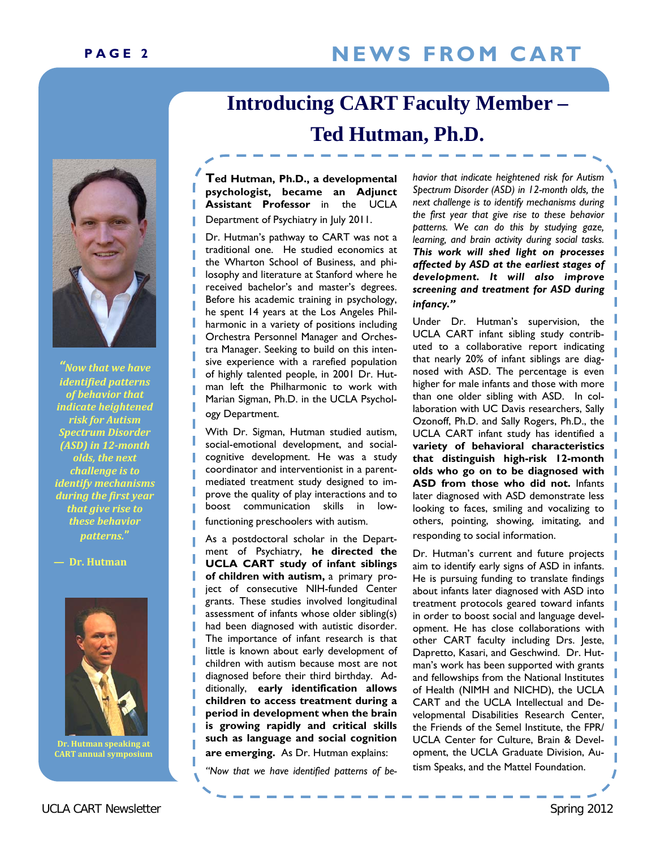# PAGE 2 NEWS FROM CART

# **Introducing CART Faculty Member – Ted Hutman, Ph.D.**

**Ted Hutman, Ph.D., a developmental psychologist, became an Adjunct Assistant Professor** in the UCLA Department of Psychiatry in July 2011.

Dr. Hutman's pathway to CART was not a traditional one. He studied economics at the Wharton School of Business, and philosophy and literature at Stanford where he received bachelor's and master's degrees. Before his academic training in psychology, he spent 14 years at the Los Angeles Philharmonic in a variety of positions including Orchestra Personnel Manager and Orchestra Manager. Seeking to build on this intensive experience with a rarefied population of highly talented people, in 2001 Dr. Hutman left the Philharmonic to work with Marian Sigman, Ph.D. in the UCLA Psychology Department.

With Dr. Sigman, Hutman studied autism, social-emotional development, and socialcognitive development. He was a study coordinator and interventionist in a parentmediated treatment study designed to improve the quality of play interactions and to boost communication skills in lowfunctioning preschoolers with autism.

As a postdoctoral scholar in the Department of Psychiatry, **he directed the UCLA CART study of infant siblings of children with autism,** a primary project of consecutive NIH-funded Center grants. These studies involved longitudinal assessment of infants whose older sibling(s) had been diagnosed with autistic disorder. The importance of infant research is that little is known about early development of children with autism because most are not diagnosed before their third birthday. Additionally, **early identification allows children to access treatment during a period in development when the brain is growing rapidly and critical skills such as language and social cognition are emerging.** As Dr. Hutman explains:

*"Now that we have identified patterns of be-*

*havior that indicate heightened risk for Autism Spectrum Disorder (ASD) in 12-month olds, the next challenge is to identify mechanisms during the first year that give rise to these behavior patterns. We can do this by studying gaze, learning, and brain activity during social tasks. This work will shed light on processes affected by ASD at the earliest stages of development. It will also improve screening and treatment for ASD during infancy."* 

Under Dr. Hutman's supervision, the UCLA CART infant sibling study contributed to a collaborative report indicating that nearly 20% of infant siblings are diagnosed with ASD. The percentage is even higher for male infants and those with more than one older sibling with ASD. In collaboration with UC Davis researchers, Sally Ozonoff, Ph.D. and Sally Rogers, Ph.D., the UCLA CART infant study has identified a **variety of behavioral characteristics that distinguish high-risk 12-month olds who go on to be diagnosed with ASD from those who did not.** Infants later diagnosed with ASD demonstrate less looking to faces, smiling and vocalizing to others, pointing, showing, imitating, and responding to social information.

Dr. Hutman's current and future projects aim to identify early signs of ASD in infants. He is pursuing funding to translate findings about infants later diagnosed with ASD into treatment protocols geared toward infants in order to boost social and language development. He has close collaborations with other CART faculty including Drs. Jeste, Dapretto, Kasari, and Geschwind. Dr. Hutman's work has been supported with grants and fellowships from the National Institutes of Health (NIMH and NICHD), the UCLA CART and the UCLA Intellectual and Developmental Disabilities Research Center, the Friends of the Semel Institute, the FPR/ UCLA Center for Culture, Brain & Development, the UCLA Graduate Division, Autism Speaks, and the Mattel Foundation.



*"Now that we have identified patterns of behavior that indicate heightened risk for Autism Spectrum Disorder (ASD) in 12month olds, the next challenge is to identify mechanisms during the first year that give rise to these behavior patterns.***"**

#### **— Dr. Hutman**



**Dr. Hutman speaking at CART annual symposium**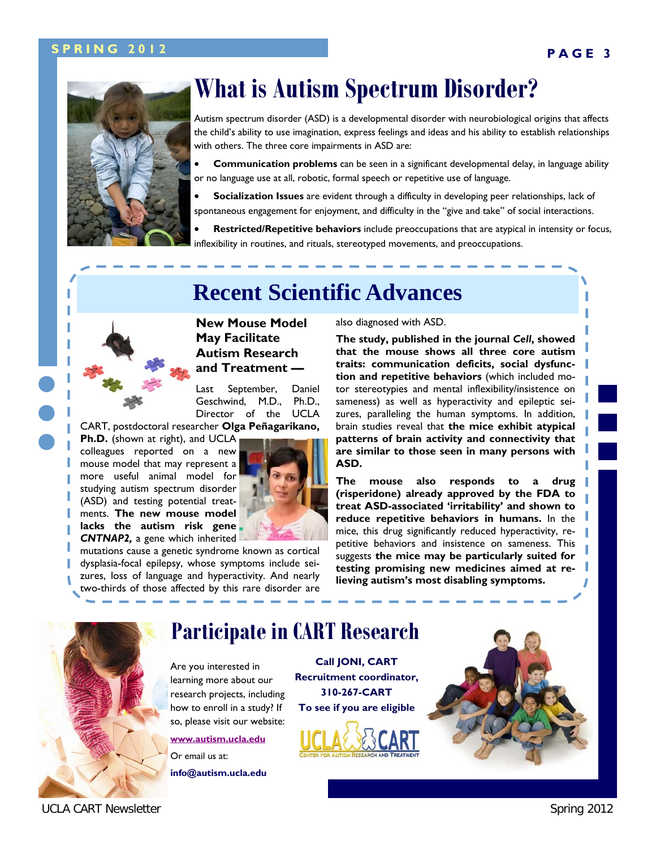#### **PAGE 3 SPRING 2012**



# **What is Autism Spectrum Disorder?**

Autism spectrum disorder (ASD) is a developmental disorder with neurobiological origins that affects the child's ability to use imagination, express feelings and ideas and his ability to establish relationships with others. The three core impairments in ASD are:

 **Communication problems** can be seen in a significant developmental delay, in language ability or no language use at all, robotic, formal speech or repetitive use of language.

 **Socialization Issues** are evident through a difficulty in developing peer relationships, lack of spontaneous engagement for enjoyment, and difficulty in the "give and take" of social interactions.

 **Restricted/Repetitive behaviors** include preoccupations that are atypical in intensity or focus, inflexibility in routines, and rituals, stereotyped movements, and preoccupations.



# **Recent Scientific Advances**

**New Mouse Model May Facilitate Autism Research and Treatment —** 

Last September, Daniel Geschwind, M.D., Ph.D., Director of the UCLA

CART, postdoctoral researcher **Olga Peñagarikano,** 

**Ph.D.** (shown at right), and UCLA colleagues reported on a new mouse model that may represent a more useful animal model for studying autism spectrum disorder (ASD) and testing potential treatments. **The new mouse model lacks the autism risk gene**  *CNTNAP2,* a gene which inherited



mutations cause a genetic syndrome known as cortical dysplasia-focal epilepsy, whose symptoms include seizures, loss of language and hyperactivity. And nearly two-thirds of those affected by this rare disorder are also diagnosed with ASD.

**The study, published in the journal** *Cell***, showed that the mouse shows all three core autism traits: communication deficits, social dysfunction and repetitive behaviors** (which included motor stereotypies and mental inflexibility/insistence on sameness) as well as hyperactivity and epileptic seizures, paralleling the human symptoms. In addition, brain studies reveal that **the mice exhibit atypical patterns of brain activity and connectivity that are similar to those seen in many persons with ASD.** 

**The mouse also responds to a drug (risperidone) already approved by the FDA to treat ASD-associated 'irritability' and shown to reduce repetitive behaviors in humans.** In the mice, this drug significantly reduced hyperactivity, repetitive behaviors and insistence on sameness. This suggests **the mice may be particularly suited for testing promising new medicines aimed at relieving autism's most disabling symptoms.**



# **Participate in CART Research**

Are you interested in learning more about our research projects, including how to enroll in a study? If so, please visit our website: **[www.autism.ucla.edu](http://www.autism.ucla.edu)**

Or email us at: **info@autism.ucla.edu**  **Recruitment coordinator, 310-267-CART To see if you are eligible** 

**Call JONI, CART** 



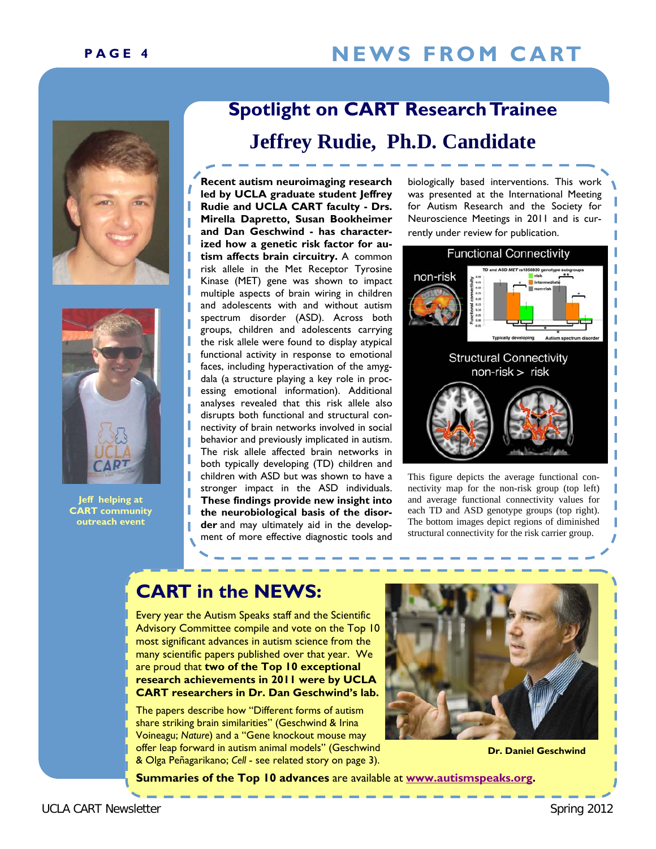# PAGE 4 NEWS FROM CART





I

**Jeff helping at CART community outreach event** 

# **Spotlight on CART Research Trainee**

## **Jeffrey Rudie, Ph.D. Candidate**

**Recent autism neuroimaging research led by UCLA graduate student Jeffrey Rudie and UCLA CART faculty - Drs. Mirella Dapretto, Susan Bookheimer and Dan Geschwind - has characterized how a genetic risk factor for autism affects brain circuitry.** A common risk allele in the Met Receptor Tyrosine Kinase (MET) gene was shown to impact multiple aspects of brain wiring in children and adolescents with and without autism spectrum disorder (ASD). Across both groups, children and adolescents carrying the risk allele were found to display atypical functional activity in response to emotional faces, including hyperactivation of the amygdala (a structure playing a key role in processing emotional information). Additional analyses revealed that this risk allele also disrupts both functional and structural connectivity of brain networks involved in social behavior and previously implicated in autism. The risk allele affected brain networks in both typically developing (TD) children and children with ASD but was shown to have a stronger impact in the ASD individuals. **These findings provide new insight into the neurobiological basis of the disorder** and may ultimately aid in the development of more effective diagnostic tools and

biologically based interventions. This work was presented at the International Meeting for Autism Research and the Society for Neuroscience Meetings in 2011 and is currently under review for publication.



This figure depicts the average functional connectivity map for the non-risk group (top left) and average functional connectivity values for each TD and ASD genotype groups (top right). The bottom images depict regions of diminished structural connectivity for the risk carrier group.

#### **CART in the NEWS:**

Every year the Autism Speaks staff and the Scientific Advisory Committee compile and vote on the Top 10 most significant advances in autism science from the many scientific papers published over that year. We are proud that **two of the Top 10 exceptional research achievements in 2011 were by UCLA CART researchers in Dr. Dan Geschwind's lab.** 

The papers describe how "Different forms of autism share striking brain similarities" (Geschwind & Irina Voineagu; *Nature*) and a "Gene knockout mouse may offer leap forward in autism animal models" (Geschwind & Olga Peñagarikano; *Cell* - see related story on page 3).



 **Dr. Daniel Geschwind** 

**Summaries of the Top 10 advances** are available at **[www.autismspeaks.org](http://www.autismspeaks.org/science/science-news/top-ten-autism-research-achievements-2011).**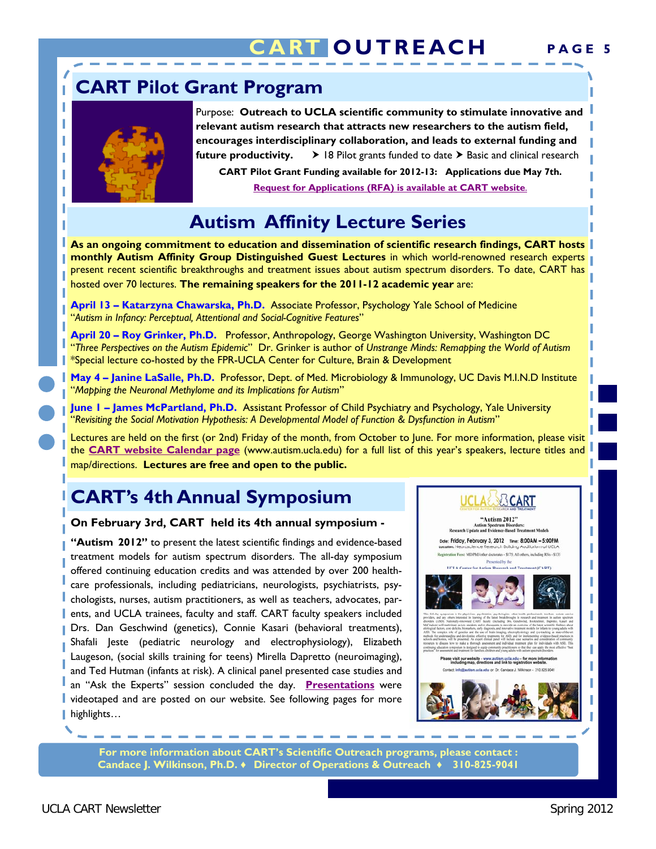# **CUTREACH**

## **CART Pilot Grant Program**



I I

Purpose: **Outreach to UCLA scientific community to stimulate innovative and relevant autism research that attracts new researchers to the autism field, encourages interdisciplinary collaboration, and leads to external funding and future productivity.**  $\rightarrow$  18 Pilot grants funded to date  $\rightarrow$  Basic and clinical research

**CART Pilot Grant Funding available for 2012-13: Applications due May 7th. [Request for Applications \(RFA\) is available at CART website](http://www.semel.ucla.edu/autism/research)**.

## **Autism Affinity Lecture Series**

**As an ongoing commitment to education and dissemination of scientific research findings, CART hosts monthly Autism Affinity Group Distinguished Guest Lectures** in which world-renowned research experts present recent scientific breakthroughs and treatment issues about autism spectrum disorders. To date, CART has hosted over 70 lectures. **The remaining speakers for the 2011-12 academic year** are:

**April 13 – Katarzyna Chawarska, Ph.D.** Associate Professor, Psychology Yale School of Medicine "*Autism in Infancy: Perceptual, Attentional and Social-Cognitive Features*"

**April 20 – Roy Grinker, Ph.D.** Professor, Anthropology, George Washington University, Washington DC "*Three Perspectives on the Autism Epidemic*" Dr. Grinker is author of *Unstrange Minds: Remapping the World of Autism*  \*Special lecture co-hosted by the FPR-UCLA Center for Culture, Brain & Development

**May 4 – Janine LaSalle, Ph.D.** Professor, Dept. of Med. Microbiology & Immunology, UC Davis M.I.N.D Institute "*Mapping the Neuronal Methylome and its Implications for Autism*"

**June 1 – James McPartland, Ph.D.** Assistant Professor of Child Psychiatry and Psychology, Yale University "*Revisiting the Social Motivation Hypothesis: A Developmental Model of Function & Dysfunction in Autism*"

Lectures are held on the first (or 2nd) Friday of the month, from October to June. For more information, please visit the **[CART website Calendar page](http://www.semel.ucla.edu/autism/events)** (www.autism.ucla.edu) for a full list of this year's speakers, lecture titles and map/directions. **Lectures are free and open to the public.**

# **CART's 4th Annual Symposium**

#### **On February 3rd, CART held its 4th annual symposium -**

**"Autism 2012"** to present the latest scientific findings and evidence-based treatment models for autism spectrum disorders. The all-day symposium offered continuing education credits and was attended by over 200 healthcare professionals, including pediatricians, neurologists, psychiatrists, psychologists, nurses, autism practitioners, as well as teachers, advocates, parents, and UCLA trainees, faculty and staff. CART faculty speakers included Drs. Dan Geschwind (genetics), Connie Kasari (behavioral treatments), Shafali Jeste (pediatric neurology and electrophysiology), Elizabeth Laugeson, (social skills training for teens) Mirella Dapretto (neuroimaging), and Ted Hutman (infants at risk). A clinical panel presented case studies and an "Ask the Experts" session concluded the day. **[Presentations](http://www.asdweb.org/education)** were videotaped and are posted on our website. See following pages for more highlights...



**For more information about CART's Scientific Outreach programs, please contact : Candace J. Wilkinson, Ph.D. ♦ Director of Operations & Outreach ♦ 310-825-9041**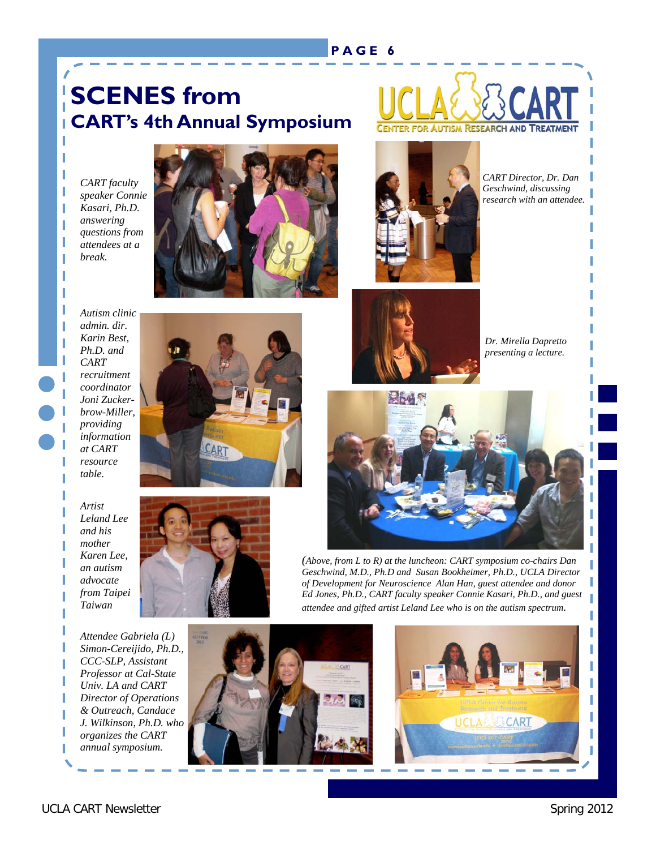#### **PAGE 6**

# **SCENES from CART's 4th Annual Symposium**

*CART faculty speaker Connie Kasari, Ph.D. answering questions from attendees at a break.* 

I I I I I I I I





*CART Director, Dr. Dan Geschwind, discussing research with an attendee.* 



*Dr. Mirella Dapretto presenting a lecture.*



*(Above, from L to R) at the luncheon: CART symposium co-chairs Dan Geschwind, M.D., Ph.D and Susan Bookheimer, Ph.D., UCLA Director of Development for Neuroscience Alan Han, guest attendee and donor Ed Jones, Ph.D., CART faculty speaker Connie Kasari, Ph.D., and guest attendee and gifted artist Leland Lee who is on the autism spectrum.* 





*Autism clinic admin. dir. Karin Best, Ph.D. and CART recruitment coordinator Joni Zuckerbrow-Miller, providing information at CART resource table.* 



#### *Artist*

*Leland Lee and his mother Karen Lee, an autism advocate from Taipei Taiwan* 

*Attendee Gabriela (L) Simon-Cereijido, Ph.D., CCC-SLP, Assistant Professor at Cal-State Univ. LA and CART Director of Operations & Outreach, Candace J. Wilkinson, Ph.D. who organizes the CART annual symposium.* 

I I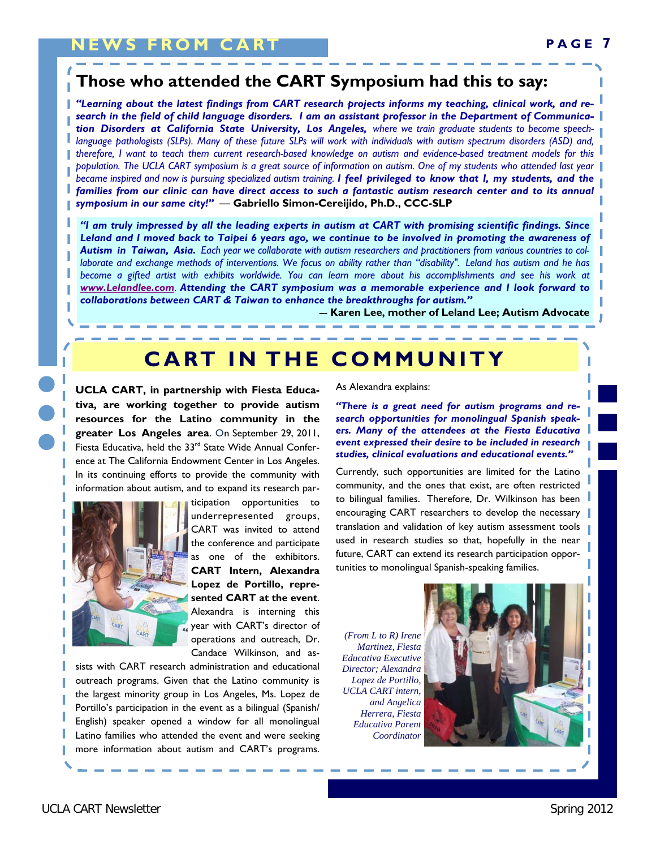#### **Those who attended the CART Symposium had this to say:**

*"Learning about the latest findings from CART research projects informs my teaching, clinical work, and research in the field of child language disorders. I am an assistant professor in the Department of Communication Disorders at California State University, Los Angeles, where we train graduate students to become speechlanguage pathologists (SLPs). Many of these future SLPs will work with individuals with autism spectrum disorders (ASD) and, therefore, I want to teach them current research-based knowledge on autism and evidence-based treatment models for this population. The UCLA CART symposium is a great source of information on autism. One of my students who attended last year became inspired and now is pursuing specialized autism training. I feel privileged to know that I, my students, and the families from our clinic can have direct access to such a fantastic autism research center and to its annual symposium in our same city!" —* **Gabriello Simon-Cereijido, Ph.D., CCC-SLP** 

*"I am truly impressed by all the leading experts in autism at CART with promising scientific findings. Since Leland and I moved back to Taipei 6 years ago, we continue to be involved in promoting the awareness of Autism in Taiwan, Asia. Each year we collaborate with autism researchers and practitioners from various countries to collaborate and exchange methods of interventions. We focus on ability rather than "disability". Leland has autism and he has*  become a gifted artist with exhibits worldwide. You can learn more about his accomplishments and see his work at *[www.Lelandlee.com](http://www.lelandlee.com/6901.htm)*. *Attending the CART symposium was a memorable experience and I look forward to collaborations between CART & Taiwan to enhance the breakthroughs for autism."* 

 *---* **Karen Lee, mother of Leland Lee; Autism Advocate**

# **CART IN THE COMMUNITY**

**UCLA CART, in partnership with Fiesta Educativa, are working together to provide autism resources for the Latino community in the greater Los Angeles area**. On September 29, 2011, Fiesta Educativa, held the 33<sup>rd</sup> State Wide Annual Conference at The California Endowment Center in Los Angeles. In its continuing efforts to provide the community with information about autism, and to expand its research par-



ticipation opportunities to underrepresented groups, CART was invited to attend the conference and participate as one of the exhibitors. **CART Intern, Alexandra Lopez de Portillo, represented CART at the event**. Alexandra is interning this year with CART's director of operations and outreach, Dr. Candace Wilkinson, and as-

sists with CART research administration and educational outreach programs. Given that the Latino community is the largest minority group in Los Angeles, Ms. Lopez de Portillo's participation in the event as a bilingual (Spanish/ English) speaker opened a window for all monolingual Latino families who attended the event and were seeking more information about autism and CART's programs.

#### As Alexandra explains:

*"There is a great need for autism programs and research opportunities for monolingual Spanish speakers. Many of the attendees at the Fiesta Educativa event expressed their desire to be included in research studies, clinical evaluations and educational events."* 

Currently, such opportunities are limited for the Latino community, and the ones that exist, are often restricted to bilingual families.Therefore, Dr. Wilkinson has been encouraging CART researchers to develop the necessary translation and validation of key autism assessment tools used in research studies so that, hopefully in the near future, CART can extend its research participation opportunities to monolingual Spanish-speaking families.

*(From L to R) Irene Martinez, Fiesta Educativa Executive Director; Alexandra Lopez de Portillo, UCLA CART intern, and Angelica Herrera, Fiesta Educativa Parent Coordinator*